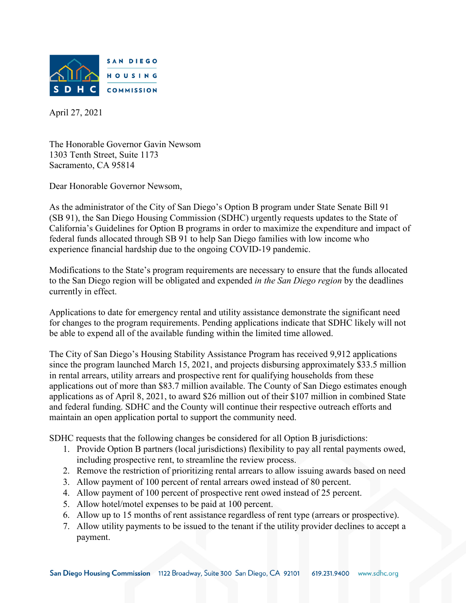

April 27, 2021

The Honorable Governor Gavin Newsom 1303 Tenth Street, Suite 1173 Sacramento, CA 95814

Dear Honorable Governor Newsom,

As the administrator of the City of San Diego's Option B program under State Senate Bill 91 (SB 91), the San Diego Housing Commission (SDHC) urgently requests updates to the State of California's Guidelines for Option B programs in order to maximize the expenditure and impact of federal funds allocated through SB 91 to help San Diego families with low income who experience financial hardship due to the ongoing COVID-19 pandemic.

Modifications to the State's program requirements are necessary to ensure that the funds allocated to the San Diego region will be obligated and expended *in the San Diego region* by the deadlines currently in effect.

Applications to date for emergency rental and utility assistance demonstrate the significant need for changes to the program requirements. Pending applications indicate that SDHC likely will not be able to expend all of the available funding within the limited time allowed.

The City of San Diego's Housing Stability Assistance Program has received 9,912 applications since the program launched March 15, 2021, and projects disbursing approximately \$33.5 million in rental arrears, utility arrears and prospective rent for qualifying households from these applications out of more than \$83.7 million available. The County of San Diego estimates enough applications as of April 8, 2021, to award \$26 million out of their \$107 million in combined State and federal funding. SDHC and the County will continue their respective outreach efforts and maintain an open application portal to support the community need.

SDHC requests that the following changes be considered for all Option B jurisdictions:

- 1. Provide Option B partners (local jurisdictions) flexibility to pay all rental payments owed, including prospective rent, to streamline the review process.
- 2. Remove the restriction of prioritizing rental arrears to allow issuing awards based on need
- 3. Allow payment of 100 percent of rental arrears owed instead of 80 percent.
- 4. Allow payment of 100 percent of prospective rent owed instead of 25 percent.
- 5. Allow hotel/motel expenses to be paid at 100 percent.
- 6. Allow up to 15 months of rent assistance regardless of rent type (arrears or prospective).
- 7. Allow utility payments to be issued to the tenant if the utility provider declines to accept a payment.